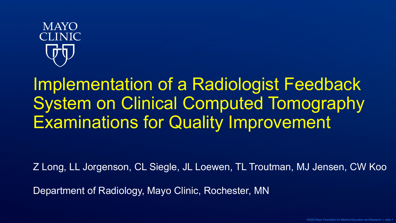

Implementation of a Radiologist Feedback System on Clinical Computed Tomography Examinations for Quality Improvement

Z Long, LL Jorgenson, CL Siegle, JL Loewen, TL Troutman, MJ Jensen, CW Koo

Department of Radiology, Mayo Clinic, Rochester, MN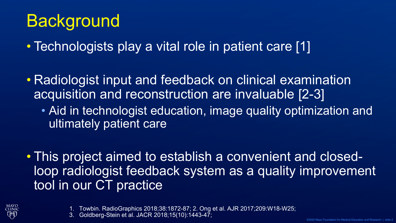# **Background**

• Technologists play a vital role in patient care [1]

• Radiologist input and feedback on clinical examination acquisition and reconstruction are invaluable [2-3]

• Aid in technologist education, image quality optimization and ultimately patient care

• This project aimed to establish a convenient and closedloop radiologist feedback system as a quality improvement tool in our CT practice



1. Towbin. RadioGraphics 2018;38:1872-87; 2. Ong et al. AJR 2017;209:W18-W25;

3. Goldberg-Stein et al. JACR 2018;15(10):1443-47;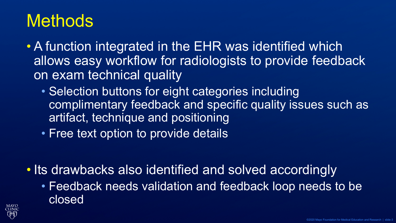## **Methods**

- A function integrated in the EHR was identified which allows easy workflow for radiologists to provide feedback on exam technical quality
	- Selection buttons for eight categories including complimentary feedback and specific quality issues such as artifact, technique and positioning
	- Free text option to provide details
- Its drawbacks also identified and solved accordingly
	- Feedback needs validation and feedback loop needs to be closed

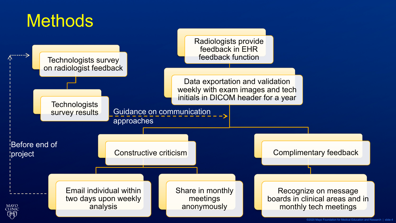### **Methods**



<sup>©2020</sup> Mayo Foundation for Medical Education and Research | slide-4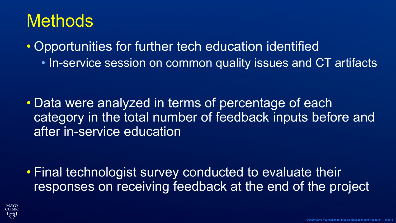## **Methods**

• Opportunities for further tech education identified • In-service session on common quality issues and CT artifacts

• Data were analyzed in terms of percentage of each category in the total number of feedback inputs before and after in-service education

• Final technologist survey conducted to evaluate their responses on receiving feedback at the end of the project

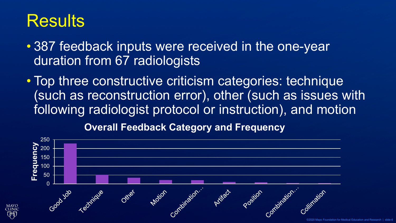### **Results**

MAYC

- 387 feedback inputs were received in the one-year duration from 67 radiologists
- Top three constructive criticism categories: technique (such as reconstruction error), other (such as issues with following radiologist protocol or instruction), and motion

**Overall Feedback Category and Frequency**

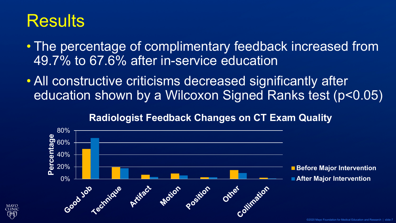### **Results**

MAYC

- The percentage of complimentary feedback increased from 49.7% to 67.6% after in-service education
- All constructive criticisms decreased significantly after education shown by a Wilcoxon Signed Ranks test (p<0.05)

#### **Radiologist Feedback Changes on CT Exam Quality**

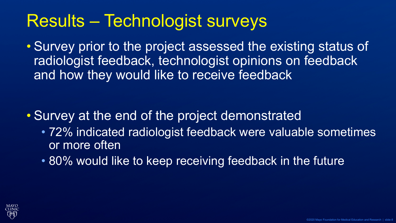# Results – Technologist surveys

• Survey prior to the project assessed the existing status of radiologist feedback, technologist opinions on feedback and how they would like to receive feedback

### • Survey at the end of the project demonstrated

- 72% indicated radiologist feedback were valuable sometimes or more often
- 80% would like to keep receiving feedback in the future

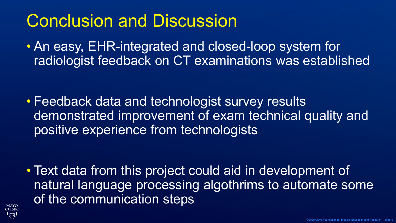# Conclusion and Discussion

• An easy, EHR-integrated and closed-loop system for radiologist feedback on CT examinations was established

• Feedback data and technologist survey results demonstrated improvement of exam technical quality and positive experience from technologists

• Text data from this project could aid in development of natural language processing algothrims to automate some of the communication steps